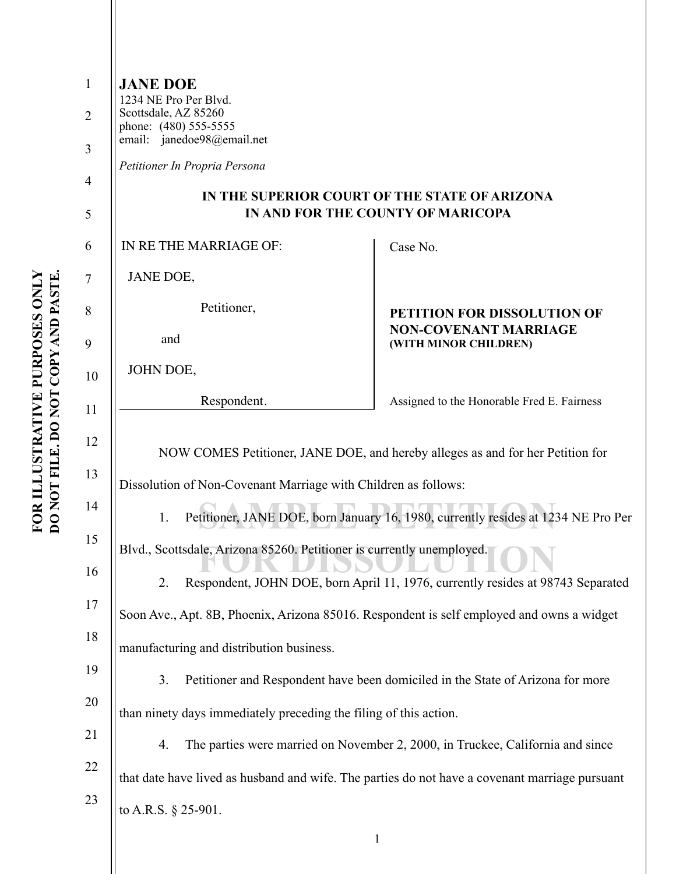| 1              | <b>JANE DOE</b>                                                                                                                                                                    |                                                                                |  |
|----------------|------------------------------------------------------------------------------------------------------------------------------------------------------------------------------------|--------------------------------------------------------------------------------|--|
| $\overline{2}$ | 1234 NE Pro Per Blvd.<br>Scottsdale, AZ 85260<br>phone: (480) 555-5555                                                                                                             |                                                                                |  |
| 3              | email: janedoe98@email.net                                                                                                                                                         |                                                                                |  |
| 4              | Petitioner In Propria Persona                                                                                                                                                      |                                                                                |  |
| 5              | IN THE SUPERIOR COURT OF THE STATE OF ARIZONA<br>IN AND FOR THE COUNTY OF MARICOPA                                                                                                 |                                                                                |  |
| 6              | IN RETHE MARRIAGE OF:                                                                                                                                                              | Case No.                                                                       |  |
| 7              | JANE DOE,                                                                                                                                                                          |                                                                                |  |
| 8              | Petitioner,                                                                                                                                                                        | PETITION FOR DISSOLUTION OF                                                    |  |
| 9              | and                                                                                                                                                                                | <b>NON-COVENANT MARRIAGE</b><br>(WITH MINOR CHILDREN)                          |  |
| 10             | JOHN DOE,                                                                                                                                                                          |                                                                                |  |
| 11             | Respondent.                                                                                                                                                                        | Assigned to the Honorable Fred E. Fairness                                     |  |
| 12             | NOW COMES Petitioner, JANE DOE, and hereby alleges as and for her Petition for                                                                                                     |                                                                                |  |
| 13             |                                                                                                                                                                                    |                                                                                |  |
| 14             | Dissolution of Non-Covenant Marriage with Children as follows:<br>Petitioner, JANE DOE, born January 16, 1980, currently resides at 1234 NE Pro Per                                |                                                                                |  |
| 15             | 1.                                                                                                                                                                                 |                                                                                |  |
| 16             | Blvd., Scottsdale, Arizona 85260. Petitioner is currently unemployed.                                                                                                              |                                                                                |  |
| 17             | Respondent, JOHN DOE, born April 11, 1976, currently resides at 98743 Separated<br>2.<br>Soon Ave., Apt. 8B, Phoenix, Arizona 85016. Respondent is self employed and owns a widget |                                                                                |  |
| 18             |                                                                                                                                                                                    |                                                                                |  |
| 19             | manufacturing and distribution business.                                                                                                                                           |                                                                                |  |
| 20             | 3.                                                                                                                                                                                 | Petitioner and Respondent have been domiciled in the State of Arizona for more |  |
| 21             | than ninety days immediately preceding the filing of this action.                                                                                                                  |                                                                                |  |
| 22             | The parties were married on November 2, 2000, in Truckee, California and since<br>4.                                                                                               |                                                                                |  |
| 23             | that date have lived as husband and wife. The parties do not have a covenant marriage pursuant                                                                                     |                                                                                |  |
|                | to A.R.S. $\S$ 25-901.                                                                                                                                                             |                                                                                |  |
|                |                                                                                                                                                                                    | $\mathbf{1}$                                                                   |  |
|                |                                                                                                                                                                                    |                                                                                |  |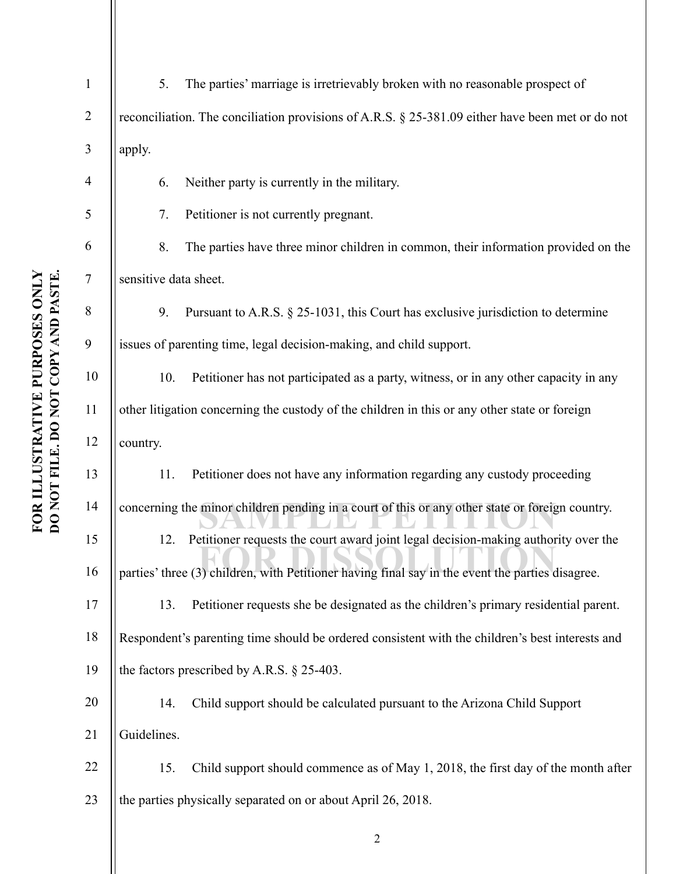| $\mathbf{1}$   | 5.                                                                                              | The parties' marriage is irretrievably broken with no reasonable prospect of                        |
|----------------|-------------------------------------------------------------------------------------------------|-----------------------------------------------------------------------------------------------------|
| $\overline{2}$ |                                                                                                 | reconciliation. The conciliation provisions of A.R.S. $\S$ 25-381.09 either have been met or do not |
| 3              | apply.                                                                                          |                                                                                                     |
|                | 6.                                                                                              | Neither party is currently in the military.                                                         |
| 5              | 7.                                                                                              | Petitioner is not currently pregnant.                                                               |
| 6              | 8.                                                                                              | The parties have three minor children in common, their information provided on the                  |
| $\tau$         | sensitive data sheet.                                                                           |                                                                                                     |
| 8              | 9.                                                                                              | Pursuant to A.R.S. § 25-1031, this Court has exclusive jurisdiction to determine                    |
| 9              |                                                                                                 | issues of parenting time, legal decision-making, and child support.                                 |
| 10             | 10.                                                                                             | Petitioner has not participated as a party, witness, or in any other capacity in any                |
| 11             | other litigation concerning the custody of the children in this or any other state or foreign   |                                                                                                     |
| 12             | country.                                                                                        |                                                                                                     |
| 13             | 11.                                                                                             | Petitioner does not have any information regarding any custody proceeding                           |
| 14             | concerning the minor children pending in a court of this or any other state or foreign country. |                                                                                                     |
| 15             | 12.                                                                                             | Petitioner requests the court award joint legal decision-making authority over the                  |
| 16             |                                                                                                 | parties' three (3) children, with Petitioner having final say in the event the parties disagree.    |
| 17             | 13.                                                                                             | Petitioner requests she be designated as the children's primary residential parent.                 |
| 18             |                                                                                                 | Respondent's parenting time should be ordered consistent with the children's best interests and     |
| 19             |                                                                                                 | the factors prescribed by A.R.S. $\S$ 25-403.                                                       |
| 20             | 14.                                                                                             | Child support should be calculated pursuant to the Arizona Child Support                            |
| 21             | Guidelines.                                                                                     |                                                                                                     |
| 22             | 15.                                                                                             | Child support should commence as of May 1, 2018, the first day of the month after                   |
| 23             |                                                                                                 | the parties physically separated on or about April 26, 2018.                                        |
|                |                                                                                                 | $\overline{2}$                                                                                      |
|                |                                                                                                 |                                                                                                     |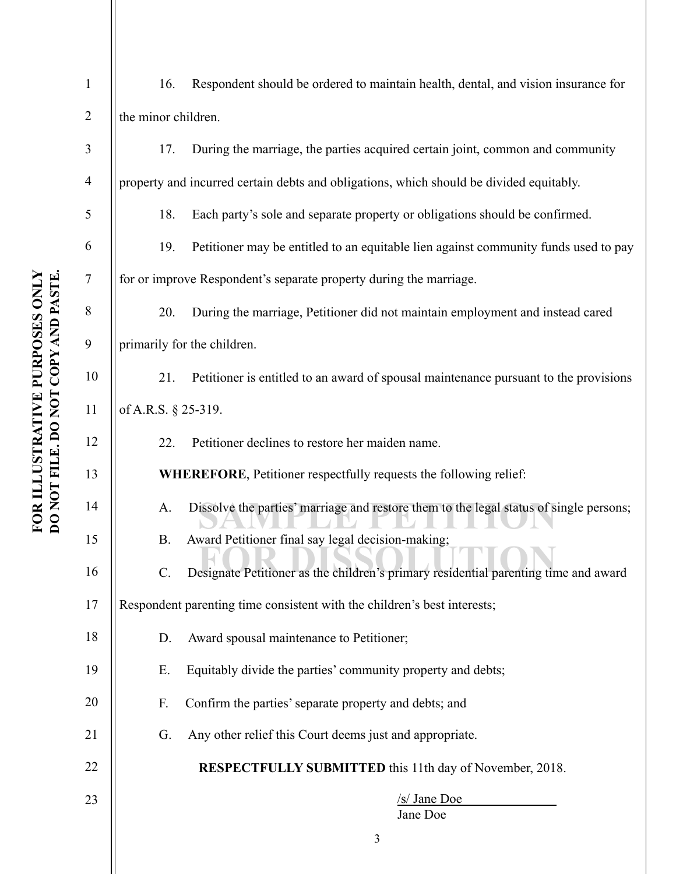| $\mathbf{1}$   | 16.<br>Respondent should be ordered to maintain health, dental, and vision insurance for               |  |  |
|----------------|--------------------------------------------------------------------------------------------------------|--|--|
| $\overline{2}$ | the minor children.                                                                                    |  |  |
| $\mathfrak{Z}$ | During the marriage, the parties acquired certain joint, common and community<br>17.                   |  |  |
| $\overline{4}$ | property and incurred certain debts and obligations, which should be divided equitably.                |  |  |
| 5              | 18.<br>Each party's sole and separate property or obligations should be confirmed.                     |  |  |
| 6              | Petitioner may be entitled to an equitable lien against community funds used to pay<br>19.             |  |  |
| $\tau$         | for or improve Respondent's separate property during the marriage.                                     |  |  |
| 8              | During the marriage, Petitioner did not maintain employment and instead cared<br>20.                   |  |  |
| 9              | primarily for the children.                                                                            |  |  |
| 10             | Petitioner is entitled to an award of spousal maintenance pursuant to the provisions<br>21.            |  |  |
| 11             | of A.R.S. § 25-319.                                                                                    |  |  |
| 12             | Petitioner declines to restore her maiden name.<br>22.                                                 |  |  |
| 13             | WHEREFORE, Petitioner respectfully requests the following relief:                                      |  |  |
| 14             | Dissolve the parties' marriage and restore them to the legal status of single persons;<br>A.           |  |  |
| 15             | Award Petitioner final say legal decision-making;<br><b>B.</b>                                         |  |  |
| 16             | Designate Petitioner as the children's primary residential parenting time and award<br>$\mathcal{C}$ . |  |  |
| 17             | Respondent parenting time consistent with the children's best interests;                               |  |  |
| 18             | Award spousal maintenance to Petitioner;<br>D.                                                         |  |  |
| 19             | Ε.<br>Equitably divide the parties' community property and debts;                                      |  |  |
| 20             | F.<br>Confirm the parties' separate property and debts; and                                            |  |  |
| 21             | Any other relief this Court deems just and appropriate.<br>G.                                          |  |  |
| 22             | <b>RESPECTFULLY SUBMITTED</b> this 11th day of November, 2018.                                         |  |  |
| 23             | /s/ Jane Doe<br>Jane Doe                                                                               |  |  |
|                | 3                                                                                                      |  |  |
|                |                                                                                                        |  |  |

## FOR ILLUSTRATIVE PURPOSES ONLY **FOR ILLUSTRATIVE PURPOSES ONLY**  DO NOT FILE. DO NOT COPY AND PASTE. **DO NOT FILE. DO NOT COPY AND PASTE.**